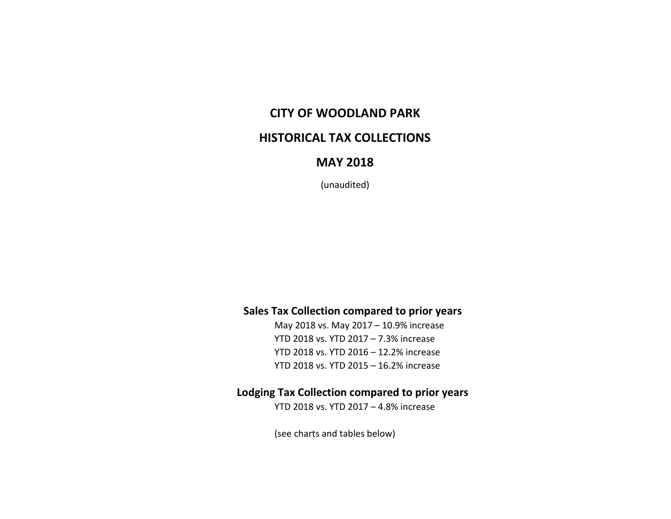## **CITY OF WOODLAND PARK**

## **HISTORICAL TAX COLLECTIONS**

## **MAY 2018**

(unaudited)

#### **Sales Tax Collection compared to prior years**

May 2018 vs. May 2017 – 10.9% increase YTD 2018 vs. YTD 2017 – 7.3% increase YTD 2018 vs. YTD 2016 – 12.2% increase YTD 2018 vs. YTD 2015 – 16.2% increase

#### **Lodging Tax Collection compared to prior years**

YTD 2018 vs. YTD 2017 – 4.8% increase

(see charts and tables below)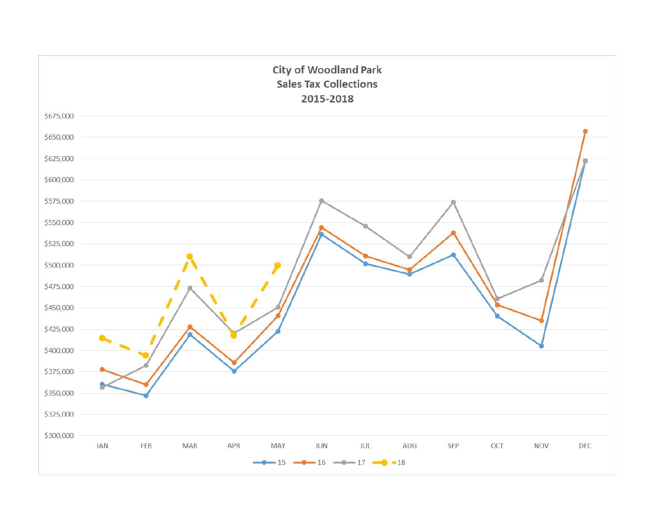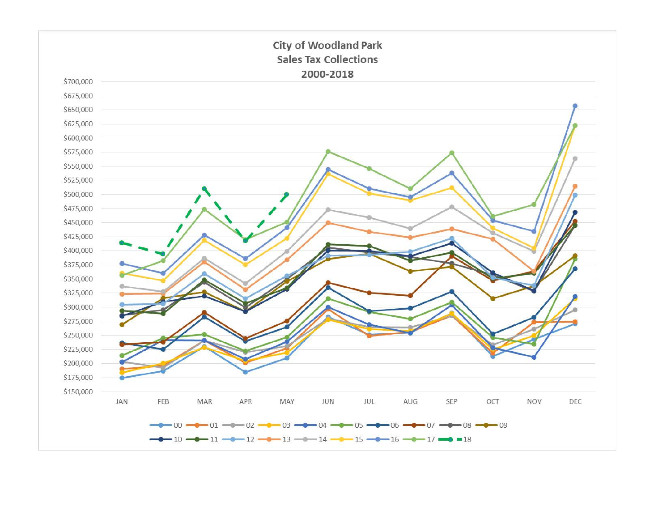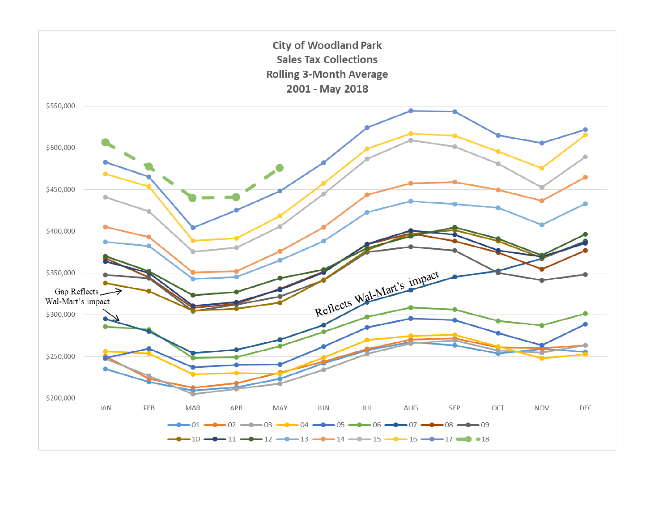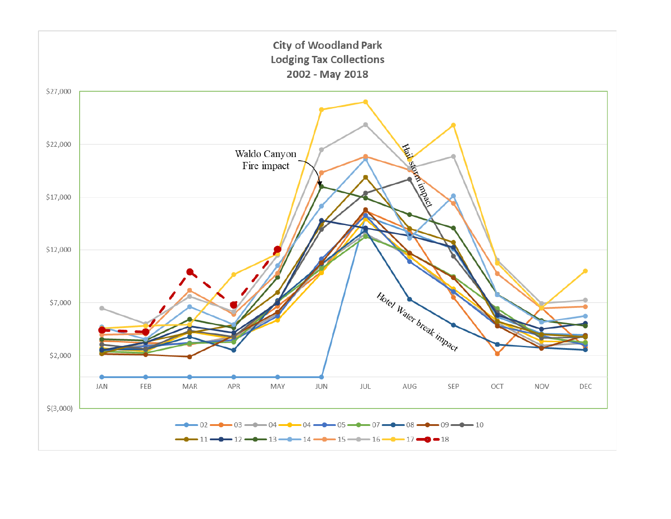